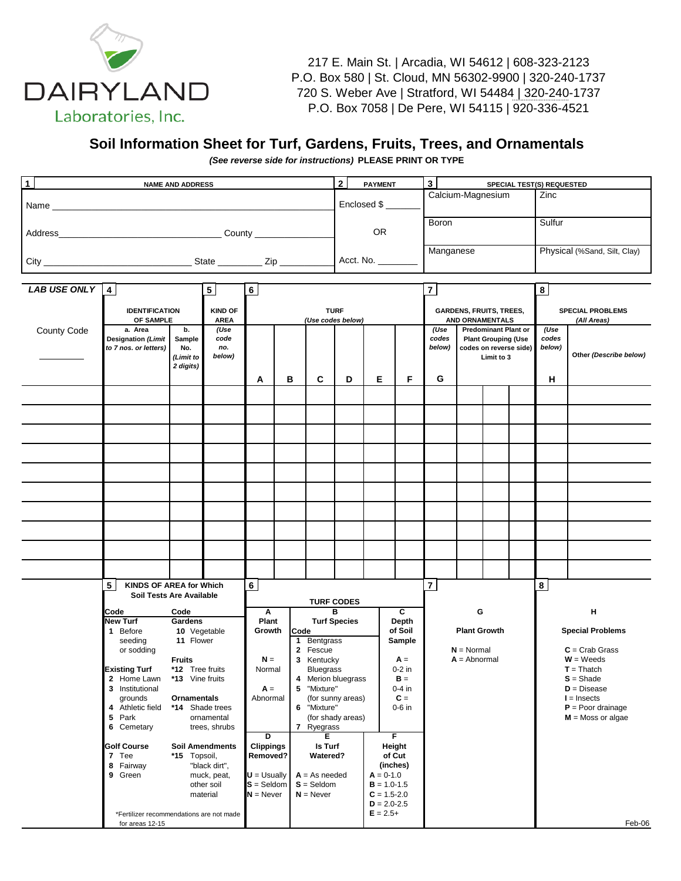

217 E. Main St. | Arcadia, WI 54612 | 608-323-2123 P.O. Box 580 | St. Cloud, MN 56302-9900 | 320-240-1737 720 S. Weber Ave | Stratford, WI 54484 | 320-240-1737 P.O. Box 7058 | De Pere, WI 54115 | 920-336-4521

## **Soil Information Sheet for Turf, Gardens, Fruits, Trees, and Ornamentals**

*(See reverse side for instructions)* **PLEASE PRINT OR TYPE**

| $\mathbf{1}$<br><b>NAME AND ADDRESS</b> |                                                        |                                               |                               |                             |   | $\mathbf{2}$<br><b>PAYMENT</b> |                                  |                                    | 3<br>SPECIAL TEST(S) REQUESTED |                                                                                                                                                              |                                                   |                        |                              |          |                                        |  |
|-----------------------------------------|--------------------------------------------------------|-----------------------------------------------|-------------------------------|-----------------------------|---|--------------------------------|----------------------------------|------------------------------------|--------------------------------|--------------------------------------------------------------------------------------------------------------------------------------------------------------|---------------------------------------------------|------------------------|------------------------------|----------|----------------------------------------|--|
|                                         |                                                        |                                               |                               |                             |   |                                | Enclosed \$                      |                                    |                                | Calcium-Magnesium                                                                                                                                            |                                                   |                        |                              | Zinc     |                                        |  |
|                                         |                                                        |                                               |                               |                             |   |                                | <b>OR</b>                        |                                    |                                | Boron                                                                                                                                                        |                                                   |                        |                              | Sulfur   |                                        |  |
|                                         |                                                        |                                               |                               |                             |   | Acct. No. ______               |                                  |                                    | Manganese                      |                                                                                                                                                              |                                                   |                        | Physical (%Sand, Silt, Clay) |          |                                        |  |
|                                         |                                                        |                                               |                               |                             |   |                                |                                  |                                    |                                |                                                                                                                                                              |                                                   |                        |                              |          |                                        |  |
| LAB USE ONLY 4<br>5<br>6                |                                                        |                                               |                               |                             | 7 |                                |                                  |                                    |                                |                                                                                                                                                              |                                                   | $\bf{8}$               |                              |          |                                        |  |
|                                         | <b>IDENTIFICATION</b><br>OF SAMPLE                     |                                               | <b>KIND OF</b><br><b>AREA</b> |                             |   |                                | <b>TURF</b><br>(Use codes below) |                                    |                                |                                                                                                                                                              | <b>GARDENS, FRUITS, TREES,</b><br>AND ORNAMENTALS |                        |                              |          | <b>SPECIAL PROBLEMS</b><br>(All Areas) |  |
| County Code                             | a. Area<br>Designation (Limit<br>to 7 nos. or letters) | b.<br>Sample<br>No.<br>(Limit to<br>2 digits) | (Use<br>code<br>no.<br>below) | A                           | в | C                              | D                                | Е                                  | F                              | (Use<br><b>Predominant Plant or</b><br>(Use<br>codes<br>codes<br><b>Plant Grouping (Use</b><br>below)<br>below)<br>codes on reverse side)<br>Limit to 3<br>G |                                                   | Other (Describe below) |                              |          |                                        |  |
|                                         |                                                        |                                               |                               |                             |   |                                |                                  |                                    |                                |                                                                                                                                                              |                                                   |                        |                              | н        |                                        |  |
|                                         |                                                        |                                               |                               |                             |   |                                |                                  |                                    |                                |                                                                                                                                                              |                                                   |                        |                              |          |                                        |  |
|                                         |                                                        |                                               |                               |                             |   |                                |                                  |                                    |                                |                                                                                                                                                              |                                                   |                        |                              |          |                                        |  |
|                                         |                                                        |                                               |                               |                             |   |                                |                                  |                                    |                                |                                                                                                                                                              |                                                   |                        |                              |          |                                        |  |
|                                         |                                                        |                                               |                               |                             |   |                                |                                  |                                    |                                |                                                                                                                                                              |                                                   |                        |                              |          |                                        |  |
|                                         |                                                        |                                               |                               |                             |   |                                |                                  |                                    |                                |                                                                                                                                                              |                                                   |                        |                              |          |                                        |  |
|                                         |                                                        |                                               |                               |                             |   |                                |                                  |                                    |                                |                                                                                                                                                              |                                                   |                        |                              |          |                                        |  |
|                                         |                                                        |                                               |                               |                             |   |                                |                                  |                                    |                                |                                                                                                                                                              |                                                   |                        |                              |          |                                        |  |
|                                         |                                                        |                                               |                               |                             |   |                                |                                  |                                    |                                |                                                                                                                                                              |                                                   |                        |                              |          |                                        |  |
|                                         |                                                        |                                               |                               |                             |   |                                |                                  |                                    |                                |                                                                                                                                                              |                                                   |                        |                              |          |                                        |  |
|                                         | 5<br><b>KINDS OF AREA for Which</b>                    |                                               |                               | 6 <sup>1</sup>              |   |                                |                                  |                                    |                                | $\overline{7}$                                                                                                                                               |                                                   |                        |                              | $\bf{8}$ |                                        |  |
| Soil Tests Are Available                |                                                        |                                               |                               |                             |   | <b>TURF CODES</b>              |                                  |                                    |                                |                                                                                                                                                              |                                                   |                        |                              |          |                                        |  |
|                                         | Code<br>Code                                           |                                               |                               | Α                           |   |                                | в                                | c                                  |                                |                                                                                                                                                              | G                                                 |                        |                              | н        |                                        |  |
| <b>New Turf</b><br>Gardens              |                                                        |                                               | Plant                         |                             |   | <b>Turf Species</b><br>Depth   |                                  |                                    |                                |                                                                                                                                                              |                                                   |                        |                              |          |                                        |  |
|                                         | 1 Before                                               | 10 Vegetable                                  |                               | Growth                      |   | Code                           |                                  |                                    | of Soil                        |                                                                                                                                                              | <b>Plant Growth</b>                               |                        |                              |          | <b>Special Problems</b>                |  |
|                                         | seeding<br>or sodding                                  | 11 Flower                                     |                               |                             |   | 1 Bentgrass<br>2 Fescue        |                                  |                                    | Sample                         |                                                                                                                                                              | $N = Normal$                                      |                        |                              |          | $C = Crab$ Grass                       |  |
|                                         |                                                        | <b>Fruits</b>                                 |                               | $N =$                       |   | 3 Kentucky                     |                                  |                                    | $A =$                          |                                                                                                                                                              | $A = Abnormal$                                    |                        |                              |          | $W = Weeds$                            |  |
|                                         | <b>Existing Turf</b>                                   | *12 Tree fruits                               |                               | Normal                      |   | <b>Bluegrass</b>               |                                  |                                    | 0-2 in                         |                                                                                                                                                              |                                                   |                        |                              |          | $T = Thatch$                           |  |
|                                         | 2 Home Lawn                                            | *13 Vine fruits                               |                               |                             |   | 4 Merion bluegrass             |                                  |                                    | $B =$                          |                                                                                                                                                              |                                                   |                        |                              |          | $S = Shade$                            |  |
|                                         | 3 Institutional<br>grounds                             | Ornamentals                                   |                               | $A =$<br>Abnormal           |   | 5 "Mixture"                    |                                  |                                    | $0-4$ in<br>$C =$              |                                                                                                                                                              |                                                   |                        |                              |          | $D = Discase$<br>$I =$ Insects         |  |
|                                         | 4 Athletic field                                       | *14 Shade trees                               |                               |                             |   | 6 "Mixture"                    | (for sunny areas)                |                                    | $0-6$ in                       |                                                                                                                                                              |                                                   |                        |                              |          | $P =$ Poor drainage                    |  |
|                                         | Park<br>5                                              |                                               | ornamental                    |                             |   |                                | (for shady areas)                |                                    |                                |                                                                                                                                                              |                                                   |                        |                              |          | $M =$ Moss or algae                    |  |
|                                         | 6 Cemetary                                             |                                               | trees, shrubs                 |                             |   | 7 Ryegrass                     |                                  |                                    |                                |                                                                                                                                                              |                                                   |                        |                              |          |                                        |  |
|                                         | <b>Golf Course</b>                                     |                                               | <b>Soil Amendments</b>        | ₽<br><b>Clippings</b>       |   | Е<br>Is Turf                   |                                  |                                    | F<br>Height                    |                                                                                                                                                              |                                                   |                        |                              |          |                                        |  |
|                                         | 7 Tee                                                  | *15 Topsoil,                                  |                               | Removed?                    |   | Watered?                       |                                  |                                    | of Cut                         |                                                                                                                                                              |                                                   |                        |                              |          |                                        |  |
|                                         | 8 Fairway                                              |                                               | "black dirt",                 |                             |   |                                |                                  |                                    | (inches)                       |                                                                                                                                                              |                                                   |                        |                              |          |                                        |  |
|                                         | 9 Green                                                |                                               | muck, peat,                   | $U = U$ sually              |   | $A = As needed$                |                                  | $A = 0-1.0$                        |                                |                                                                                                                                                              |                                                   |                        |                              |          |                                        |  |
|                                         |                                                        |                                               | other soil<br>material        | $S =$ Seldom<br>$N =$ Never |   | $S =$ Seldom<br>$N =$ Never    |                                  | $B = 1.0 - 1.5$<br>$C = 1.5 - 2.0$ |                                |                                                                                                                                                              |                                                   |                        |                              |          |                                        |  |
|                                         |                                                        |                                               |                               |                             |   |                                |                                  | $D = 2.0 - 2.5$                    |                                |                                                                                                                                                              |                                                   |                        |                              |          |                                        |  |
|                                         | *Fertilizer recommendations are not made               |                                               |                               |                             |   |                                |                                  | $E = 2.5+$                         |                                |                                                                                                                                                              |                                                   |                        |                              |          |                                        |  |
|                                         | for areas 12-15                                        |                                               |                               |                             |   |                                |                                  |                                    |                                |                                                                                                                                                              |                                                   |                        |                              |          | Feb-06                                 |  |